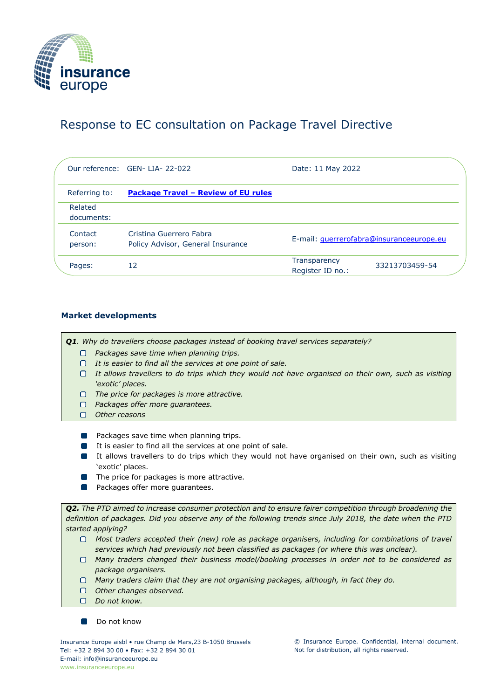

# Response to EC consultation on Package Travel Directive

|                       | Our reference: GEN-LIA-22-022                                | Date: 11 May 2022                                  |
|-----------------------|--------------------------------------------------------------|----------------------------------------------------|
| Referring to:         | <b>Package Travel - Review of EU rules</b>                   |                                                    |
| Related<br>documents: |                                                              |                                                    |
| Contact<br>person:    | Cristina Guerrero Fabra<br>Policy Advisor, General Insurance | E-mail: guerrerofabra@insuranceeurope.eu           |
| Pages:                | 12                                                           | Transparency<br>33213703459-54<br>Register ID no.: |

## **Market developments**

*Q1. Why do travellers choose packages instead of booking travel services separately?*

- *Packages save time when planning trips.*
- *It is easier to find all the services at one point of sale.*
- *It allows travellers to do trips which they would not have organised on their own, such as visiting 'exotic' places.*
- *The price for packages is more attractive.*
- *Packages offer more guarantees.*
- *Other reasons*
- **Packages save time when planning trips.**
- It is easier to find all the services at one point of sale.
- It allows travellers to do trips which they would not have organised on their own, such as visiting 'exotic' places.
- **The price for packages is more attractive.**
- $\mathcal{L}_{\mathcal{A}}$ Packages offer more guarantees.

*Q2. The PTD aimed to increase consumer protection and to ensure fairer competition through broadening the definition of packages. Did you observe any of the following trends since July 2018, the date when the PTD started applying?*

- *Most traders accepted their (new) role as package organisers, including for combinations of travel services which had previously not been classified as packages (or where this was unclear).*
- *Many traders changed their business model/booking processes in order not to be considered as package organisers.*
- *Many traders claim that they are not organising packages, although, in fact they do.*
- *Other changes observed.*
- *Do not know.*

Do not know

© Insurance Europe. Confidential, internal document. Not for distribution, all rights reserved.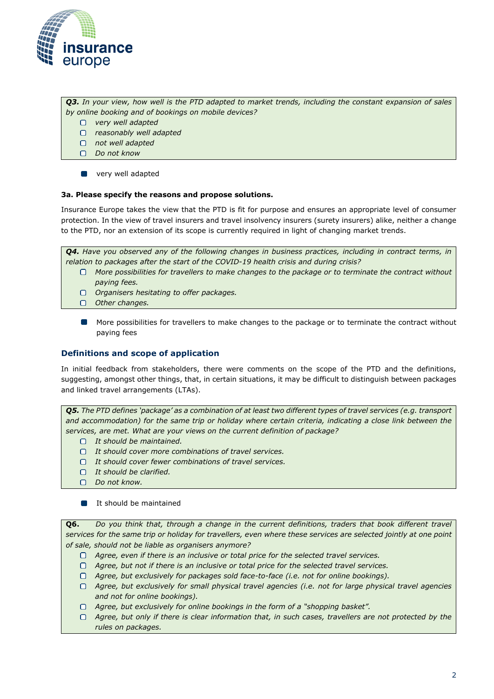

*Q3. In your view, how well is the PTD adapted to market trends, including the constant expansion of sales by online booking and of bookings on mobile devices?*

- *very well adapted*
- *reasonably well adapted*
- *not well adapted*
- *Do not know*
- **Tale** very well adapted

#### **3a. Please specify the reasons and propose solutions.**

Insurance Europe takes the view that the PTD is fit for purpose and ensures an appropriate level of consumer protection. In the view of travel insurers and travel insolvency insurers (surety insurers) alike, neither a change to the PTD, nor an extension of its scope is currently required in light of changing market trends.

*Q4. Have you observed any of the following changes in business practices, including in contract terms, in relation to packages after the start of the COVID-19 health crisis and during crisis?*

- *More possibilities for travellers to make changes to the package or to terminate the contract without paying fees.*
- *Organisers hesitating to offer packages.*
- *Other changes.*
- $\mathcal{L}(\mathcal{L})$ More possibilities for travellers to make changes to the package or to terminate the contract without paying fees

### **Definitions and scope of application**

In initial feedback from stakeholders, there were comments on the scope of the PTD and the definitions, suggesting, amongst other things, that, in certain situations, it may be difficult to distinguish between packages and linked travel arrangements (LTAs).

*Q5. The PTD defines 'package' as a combination of at least two different types of travel services (e.g. transport*  and accommodation) for the same trip or holiday where certain criteria, indicating a close link between the *services, are met. What are your views on the current definition of package?*

- *It should be maintained.*
- *It should cover more combinations of travel services.*
- *It should cover fewer combinations of travel services.*
- *It should be clarified.*
- *Do not know.*
- **I** It should be maintained

**Q6.** *Do you think that, through a change in the current definitions, traders that book different travel services for the same trip or holiday for travellers, even where these services are selected jointly at one point of sale, should not be liable as organisers anymore?*

- *Agree, even if there is an inclusive or total price for the selected travel services.*
- *Agree, but not if there is an inclusive or total price for the selected travel services.*
- *Agree, but exclusively for packages sold face-to-face (i.e. not for online bookings).*
- *Agree, but exclusively for small physical travel agencies (i.e. not for large physical travel agencies and not for online bookings).*
- *Agree, but exclusively for online bookings in the form of a "shopping basket".*
- *Agree, but only if there is clear information that, in such cases, travellers are not protected by the rules on packages.*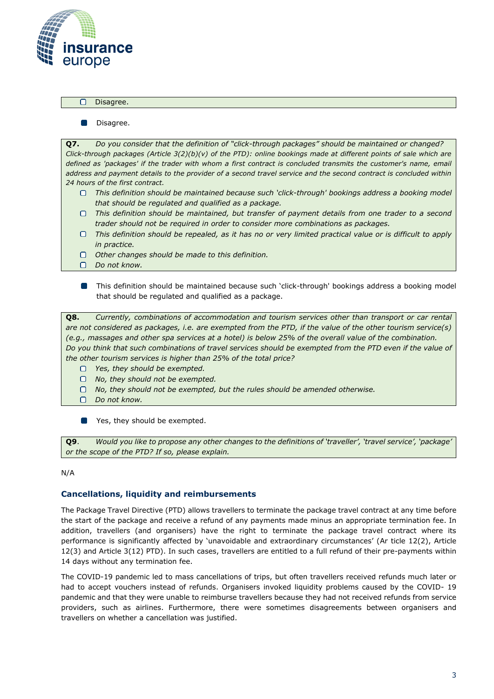

 $\Box$ Disagree.

> $\Box$ Disagree.

**Q7.** *Do you consider that the definition of "click-through packages" should be maintained or changed? Click-through packages (Article 3(2)(b)(v) of the PTD): online bookings made at different points of sale which are*  defined as 'packages' if the trader with whom a first contract is concluded transmits the customer's name, email *address and payment details to the provider of a second travel service and the second contract is concluded within 24 hours of the first contract.*

- *This definition should be maintained because such 'click-through' bookings address a booking model that should be regulated and qualified as a package.*
- *This definition should be maintained, but transfer of payment details from one trader to a second trader should not be required in order to consider more combinations as packages.*
- *This definition should be repealed, as it has no or very limited practical value or is difficult to apply in practice.*
- *Other changes should be made to this definition.*
- *Do not know.*
- $\Box$ This definition should be maintained because such 'click-through' bookings address a booking model that should be regulated and qualified as a package.

**Q8.** *Currently, combinations of accommodation and tourism services other than transport or car rental are not considered as packages, i.e. are exempted from the PTD, if the value of the other tourism service(s) (e.g., massages and other spa services at a hotel) is below 25% of the overall value of the combination. Do you think that such combinations of travel services should be exempted from the PTD even if the value of the other tourism services is higher than 25% of the total price?*

- $\Box$ *Yes, they should be exempted.*
- $\Box$ *No, they should not be exempted.*
- *No, they should not be exempted, but the rules should be amended otherwise.*
- $\Box$ *Do not know.*

Yes, they should be exempted.  $\Box$ 

**Q9**. *Would you like to propose any other changes to the definitions of 'traveller', 'travel service', 'package' or the scope of the PTD? If so, please explain.*

#### N/A

## **Cancellations, liquidity and reimbursements**

The Package Travel Directive (PTD) allows travellers to terminate the package travel contract at any time before the start of the package and receive a refund of any payments made minus an appropriate termination fee. In addition, travellers (and organisers) have the right to terminate the package travel contract where its performance is significantly affected by 'unavoidable and extraordinary circumstances' ([Ar](https://eur-lex.europa.eu/legal-content/EN/TXT/HTML/?uri=CELEX%3A32015L2302&from=EN&%3A~%3Atext=the%20termination%20fees.-%2C2%2C-.%C2%A0%C2%A0%C2%A0Notwithstanding%20paragraph%201) [ticle 12\(2\),](https://eur-lex.europa.eu/legal-content/EN/TXT/HTML/?uri=CELEX%3A32015L2302&from=EN&%3A~%3Atext=the%20termination%20fees.-%2C2%2C-.%C2%A0%C2%A0%C2%A0Notwithstanding%20paragraph%201) [Article](https://eur-lex.europa.eu/legal-content/EN/TXT/HTML/?uri=CELEX%3A32015L2302&from=EN&%3A~%3Atext=to%20additional%20compensation.-%2C3%2C-.%C2%A0%C2%A0%C2%A0The%20organiser%20may)  [12\(3\) a](https://eur-lex.europa.eu/legal-content/EN/TXT/HTML/?uri=CELEX%3A32015L2302&from=EN&%3A~%3Atext=to%20additional%20compensation.-%2C3%2C-.%C2%A0%C2%A0%C2%A0The%20organiser%20may)nd [Article 3\(12\) P](https://eur-lex.europa.eu/legal-content/EN/TXT/HTML/?uri=CELEX%3A32015L2302&from=EN&%3A~%3Atext=%E2%80%98unavoidable%20and%20extraordinary%20circumstances%E2%80%99)TD). In such cases, travellers are entitled to a full refund of their pre-payments within 14 days without any termination fee.

The COVID-19 pandemic led to mass cancellations of trips, but often travellers received refunds much later or had to accept vouchers instead of refunds. Organisers invoked liquidity problems caused by the COVID-19 pandemic and that they were unable to reimburse travellers because they had not received refunds from service providers, such as airlines. Furthermore, there were sometimes disagreements between organisers and travellers on whether a cancellation was justified.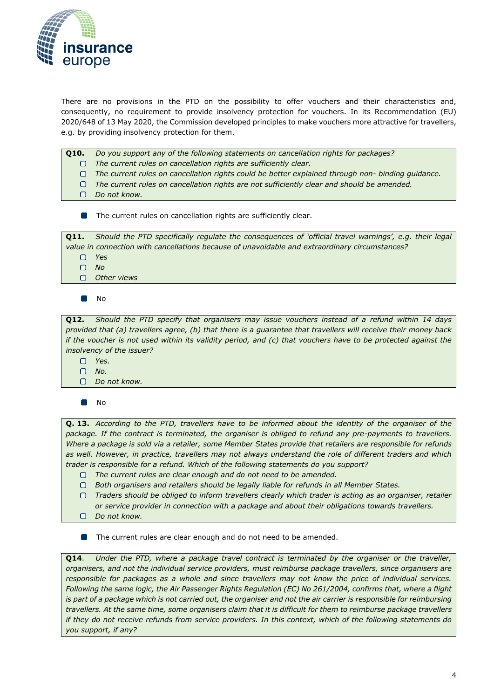

There are no provisions in the PTD on the possibility to offer vouchers and their characteristics and, consequently, no requirement to provide insolvency protection for vouchers. In its [Recommendation \(EU\)](https://eur-lex.europa.eu/legal-content/EN/TXT/?uri=CELEX%3A32020H0648) [2020/648 o](https://eur-lex.europa.eu/legal-content/EN/TXT/?uri=CELEX%3A32020H0648)f 13 May 2020, the Commission developed principles to make vouchers more attractive for travellers, e.g. by providing insolvency protection for them.

- **Q10.** *Do you support any of the following statements on cancellation rights for packages?*
	- *The current rules on cancellation rights are sufficiently clear.*  $\Box$
	- *The current rules on cancellation rights could be better explained through non- binding guidance.*
	- *The current rules on cancellation rights are not sufficiently clear and should be amended.*
	- *Do not know.*
	- **The current rules on cancellation rights are sufficiently clear.**

| 011.                                                                                           | Should the PTD specifically regulate the consequences of 'official travel warnings', e.g. their legal |  |  |
|------------------------------------------------------------------------------------------------|-------------------------------------------------------------------------------------------------------|--|--|
| value in connection with cancellations because of unavoidable and extraordinary circumstances? |                                                                                                       |  |  |
|                                                                                                | $\Box$ Yes                                                                                            |  |  |
| $\bigcap$ No                                                                                   |                                                                                                       |  |  |
|                                                                                                | Other views                                                                                           |  |  |

 $\mathcal{L}$ No

**Q12.** *Should the PTD specify that organisers may issue vouchers instead of a refund within 14 days provided that (a) travellers agree, (b) that there is a guarantee that travellers will receive their money back if the voucher is not used within its validity period, and (c) that vouchers have to be protected against the insolvency of the issuer?*

- *Yes.*
- *No.*
- $\Box$ *Do not know.*

 $\Box$ No

**Q. 13.** *According to the PTD, travellers have to be informed about the identity of the organiser of the package. If the contract is terminated, the organiser is obliged to refund any pre-payments to travellers. Where a package is sold via a retailer, some Member States provide that retailers are responsible for refunds as well. However, in practice, travellers may not always understand the role of different traders and which trader is responsible for a refund. Which of the following statements do you support?*

- $\Box$ *The current rules are clear enough and do not need to be amended.*
- *Both organisers and retailers should be legally liable for refunds in all Member States.*
- $\Box$ *Traders should be obliged to inform travellers clearly which trader is acting as an organiser, retailer or service provider in connection with a package and about their obligations towards travellers.*
- *Do not know.*

The current rules are clear enough and do not need to be amended.  $\Box$ 

**Q14**. *Under the PTD, where a package travel contract is terminated by the organiser or the traveller, organisers, and not the individual service providers, must reimburse package travellers, since organisers are responsible for packages as a whole and since travellers may not know the price of individual services. Following the same logic, the Air Passenger Rights Regulation (EC) No 261/2004, confirms that, where a flight is part of a package which is not carried out, the organiser and not the air carrier is responsible for reimbursing travellers. At the same time, some organisers claim that it is difficult for them to reimburse package travellers if they do not receive refunds from service providers. In this context, which of the following statements do you support, if any?*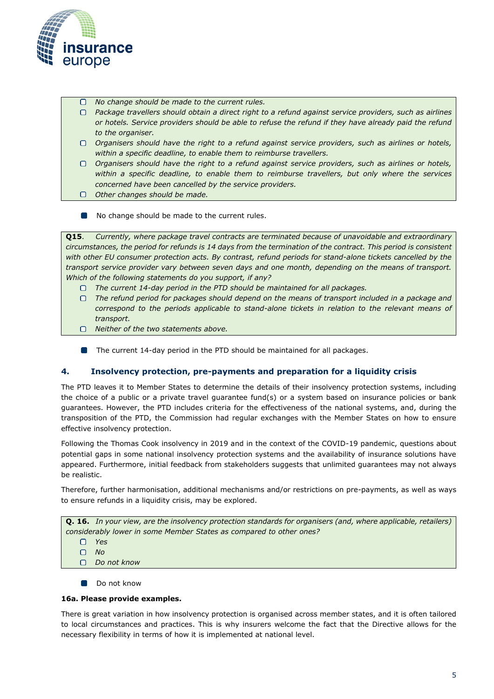

- *No change should be made to the current rules.*
- *Package travellers should obtain a direct right to a refund against service providers, such as airlines or hotels. Service providers should be able to refuse the refund if they have already paid the refund to the organiser.*
- *Organisers should have the right to a refund against service providers, such as airlines or hotels, within a specific deadline, to enable them to reimburse travellers.*
- *Organisers should have the right to a refund against service providers, such as airlines or hotels, within a specific deadline, to enable them to reimburse travellers, but only where the services concerned have been cancelled by the service providers.*
- *Other changes should be made.*
- No change should be made to the current rules.

**Q15**. *Currently, where package travel contracts are terminated because of unavoidable and extraordinary circumstances, the period for refunds is 14 days from the termination of the contract. This period is consistent with other EU consumer protection acts. By contrast, refund periods for stand-alone tickets cancelled by the transport service provider vary between seven days and one month, depending on the means of transport. Which of the following statements do you support, if any?*

- *The current 14-day period in the PTD should be maintained for all packages.*
- *The refund period for packages should depend on the means of transport included in a package and*  correspond to the periods applicable to stand-alone tickets in relation to the relevant means of *transport.*
- *Neither of the two statements above.*
- **The current 14-day period in the PTD should be maintained for all packages.**

## **4. Insolvency protection, pre-payments and preparation for a liquidity crisis**

The PTD leaves it to Member States to determine the details of their insolvency protection systems, including the choice of a public or a private travel guarantee fund(s) or a system based on insurance policies or bank guarantees. However, the PTD includes criteria for the effectiveness of the national systems, and, during the transposition of the PTD, the Commission had regular exchanges with the Member States on how to ensure effective insolvency protection.

Following the Thomas Cook insolvency in 2019 and in the context of the COVID-19 pandemic, questions about potential gaps in some national insolvency protection systems and the availability of insurance solutions have appeared. Furthermore, initial feedback from stakeholders suggests that unlimited guarantees may not always be realistic.

Therefore, further harmonisation, additional mechanisms and/or restrictions on pre-payments, as well as ways to ensure refunds in a liquidity crisis, may be explored.

**Q. 16.** *In your view, are the insolvency protection standards for organisers (and, where applicable, retailers) considerably lower in some Member States as compared to other ones?*

- *Yes*
- *No*
- *Do not know*
- **Do not know**

#### **16a. Please provide examples.**

There is great variation in how insolvency protection is organised across member states, and it is often tailored to local circumstances and practices. This is why insurers welcome the fact that the Directive allows for the necessary flexibility in terms of how it is implemented at national level.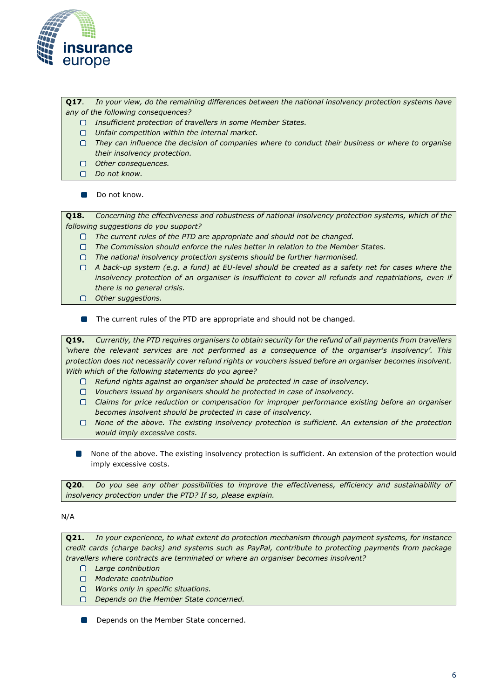

**Q17**. *In your view, do the remaining differences between the national insolvency protection systems have any of the following consequences?*

- *Insufficient protection of travellers in some Member States.*
- *Unfair competition within the internal market.*
- *They can influence the decision of companies where to conduct their business or where to organise their insolvency protection.*
- *Other consequences.*
- *Do not know.*

Do not know.  $\blacksquare$ 

**Q18.** *Concerning the effectiveness and robustness of national insolvency protection systems, which of the following suggestions do you support?*

- *The current rules of the PTD are appropriate and should not be changed.*
- *The Commission should enforce the rules better in relation to the Member States.*  $\Box$
- *The national insolvency protection systems should be further harmonised.*

*A back-up system (e.g. a fund) at EU-level should be created as a safety net for cases where the insolvency protection of an organiser is insufficient to cover all refunds and repatriations, even if there is no general crisis.*

- *Other suggestions.*
- $\Box$ The current rules of the PTD are appropriate and should not be changed.

**Q19.** *Currently, the PTD requires organisers to obtain security for the refund of all payments from travellers*  'where the relevant services are not performed as a consequence of the organiser's insolvency'. This *protection does not necessarily cover refund rights or vouchers issued before an organiser becomes insolvent. With which of the following statements do you agree?*

- *Refund rights against an organiser should be protected in case of insolvency.*
- *Vouchers issued by organisers should be protected in case of insolvency.*
- *Claims for price reduction or compensation for improper performance existing before an organiser becomes insolvent should be protected in case of insolvency.*
- *None of the above. The existing insolvency protection is sufficient. An extension of the protection would imply excessive costs.*
- None of the above. The existing insolvency protection is sufficient. An extension of the protection would imply excessive costs.

**Q20**. *Do you see any other possibilities to improve the effectiveness, efficiency and sustainability of insolvency protection under the PTD? If so, please explain.*

#### N/A

**Q21.** *In your experience, to what extent do protection mechanism through payment systems, for instance credit cards (charge backs) and systems such as PayPal, contribute to protecting payments from package travellers where contracts are terminated or where an organiser becomes insolvent?*

- *Large contribution*
- *Moderate contribution*
- *Works only in specific situations.*
- *Depends on the Member State concerned.*

**Tale** Depends on the Member State concerned.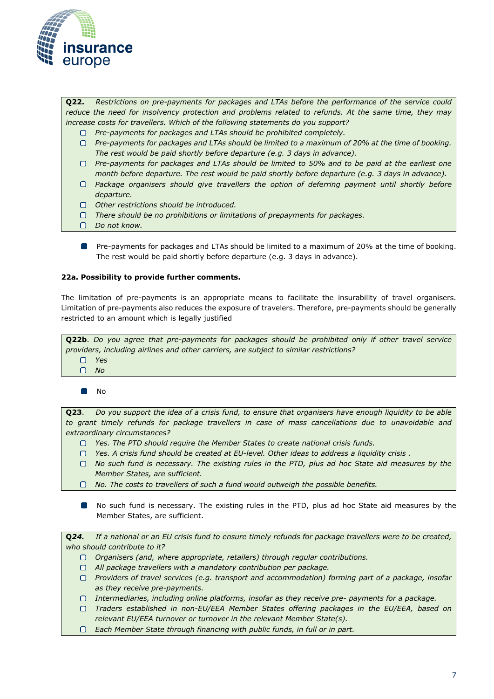

**Q22.** *Restrictions on pre-payments for packages and LTAs before the performance of the service could reduce the need for insolvency protection and problems related to refunds. At the same time, they may increase costs for travellers. Which of the following statements do you support?*

- *Pre-payments for packages and LTAs should be prohibited completely.*
- *Pre-payments for packages and LTAs should be limited to a maximum of 20% at the time of booking. The rest would be paid shortly before departure (e.g. 3 days in advance).*
- *Pre-payments for packages and LTAs should be limited to 50% and to be paid at the earliest one month before departure. The rest would be paid shortly before departure (e.g. 3 days in advance).*
- *Package organisers should give travellers the option of deferring payment until shortly before departure.*
- *Other restrictions should be introduced.*
- *There should be no prohibitions or limitations of prepayments for packages.*
- *Do not know.*
- $\Box$ Pre-payments for packages and LTAs should be limited to a maximum of 20% at the time of booking. The rest would be paid shortly before departure (e.g. 3 days in advance).

#### **22a. Possibility to provide further comments.**

The limitation of pre-payments is an appropriate means to facilitate the insurability of travel organisers. Limitation of pre-payments also reduces the exposure of travelers. Therefore, pre-payments should be generally restricted to an amount which is legally justified

**Q22b**. *Do you agree that pre-payments for packages should be prohibited only if other travel service providers, including airlines and other carriers, are subject to similar restrictions?*

- *Yes*
- $\Box$ *No*

 $\Box$ No

**Q23**. *Do you support the idea of a crisis fund, to ensure that organisers have enough liquidity to be able*  to grant timely refunds for package travellers in case of mass cancellations due to unavoidable and *extraordinary circumstances?*

- *Yes. The PTD should require the Member States to create national crisis funds.*
- *Yes. A crisis fund should be created at EU-level. Other ideas to address a liquidity crisis .*
- *No such fund is necessary. The existing rules in the PTD, plus ad hoc State aid measures by the Member States, are sufficient.*
- *No. The costs to travellers of such a fund would outweigh the possible benefits.*
- No such fund is necessary. The existing rules in the PTD, plus ad hoc State aid measures by the Member States, are sufficient.

**Q***24. If a national or an EU crisis fund to ensure timely refunds for package travellers were to be created, who should contribute to it? Organisers (and, where appropriate, retailers) through regular contributions. All package travellers with a mandatory contribution per package. Providers of travel services (e.g. transport and accommodation) forming part of a package, insofar as they receive pre-payments. Intermediaries, including online platforms, insofar as they receive pre- payments for a package.*

*Traders established in non-EU/EEA Member States offering packages in the EU/EEA, based on relevant EU/EEA turnover or turnover in the relevant Member State(s).*

*Each Member State through financing with public funds, in full or in part.*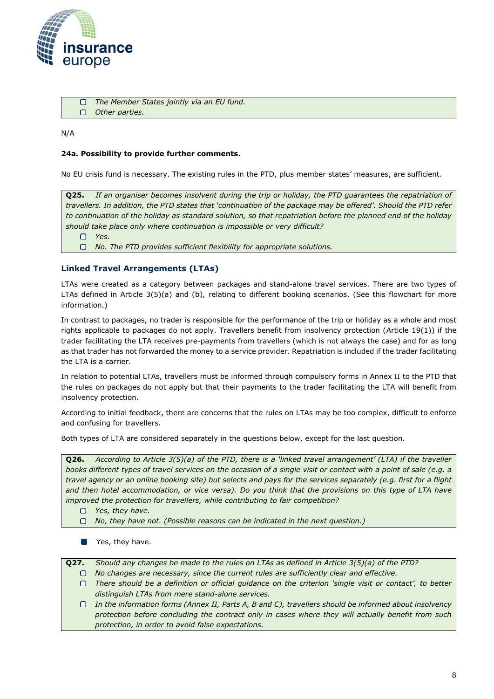

 $\Box$ *The Member States jointly via an EU fund.*  $\Box$ *Other parties.*

N/A

## **24a. Possibility to provide further comments.**

No EU crisis fund is necessary. The existing rules in the PTD, plus member states' measures, are sufficient.

**Q25.** *If an organiser becomes insolvent during the trip or holiday, the PTD guarantees the repatriation of travellers. In addition, the PTD states that 'continuation of the package may be offered'. Should the PTD refer*  to continuation of the holiday as standard solution, so that repatriation before the planned end of the holiday *should take place only where continuation is impossible or very difficult?*

 $\Box$ *Yes.*

*No. The PTD provides sufficient flexibility for appropriate solutions.*

## **Linked Travel Arrangements (LTAs)**

LTAs were created as a category between packages and stand-alone travel services. There are two types of LTAs defined in [Article 3\(5\)\(a\) and \(b\),](https://eur-lex.europa.eu/legal-content/EN/TXT/HTML/?uri=CELEX%3A32015L2302&from=EN&%3A~%3Atext=%E2%80%98-%2Clinked%20travel%20arrangement%2C-%E2%80%99%20means%20at%20least) relating to different booking scenarios. (See this [flowchart f](https://ec.europa.eu/info/sites/default/files/package_travel_or_not_flowchart_0.pdf)or more information.)

In contrast to packages, no trader is responsible for the performance of the trip or holiday as a whole and most rights applicable to packages do not apply. Travellers benefit from insolvency protection [\(Article 19\(1\)\)](https://eur-lex.europa.eu/legal-content/EN/TXT/HTML/?uri=CELEX%3A32015L2302&from=EN&%3A~%3Atext=linked%20travel%20arrangements-%2C1%2C-.%C2%A0%C2%A0%C2%A0Member%20States%20shall) if the trader facilitating the LTA receives pre-payments from travellers (which is not always the case) and for as long as that trader has not forwarded the money to a service provider. Repatriation is included if the trader facilitating the LTA is a carrier.

In relation to potential LTAs, travellers must be informed through compulsory forms in [Annex II t](https://eur-lex.europa.eu/legal-content/EN/TXT/HTML/?uri=CELEX%3A32015L2302&from=EN&%3A~%3Atext=national%20law%20(hyperlink)-%2CANNEX%20II%2C-Part%20A)o the PTD that the rules on packages do not apply but that their payments to the trader facilitating the LTA will benefit from insolvency protection.

According to initial feedback, there are concerns that the rules on LTAs may be too complex, difficult to enforce and confusing for travellers.

Both types of LTA are considered separately in the questions below, except for the last question.

**Q26.** *According to Article 3(5)(a) of the PTD, there is a 'linked travel arrangement' (LTA) if the traveller books different types of travel services on the occasion of a single visit or contact with a point of sale (e.g. a travel agency or an online booking site) but selects and pays for the services separately (e.g. first for a flight and then hotel accommodation, or vice versa). Do you think that the provisions on this type of LTA have improved the protection for travellers, while contributing to fair competition?*

- *Yes, they have.*
- $\Box$ *No, they have not. (Possible reasons can be indicated in the next question.)*
- **No.** Yes, they have.
- **Q27.** *Should any changes be made to the rules on LTAs as defined in Article 3(5)(a) of the PTD?*
	- $\Box$ *No changes are necessary, since the current rules are sufficiently clear and effective.*
	- *There should be a definition or official guidance on the criterion 'single visit or contact', to better distinguish LTAs from mere stand-alone services.*
	- *In the information forms (Annex II, Parts A, B and C), travellers should be informed about insolvency protection before concluding the contract only in cases where they will actually benefit from such protection, in order to avoid false expectations.*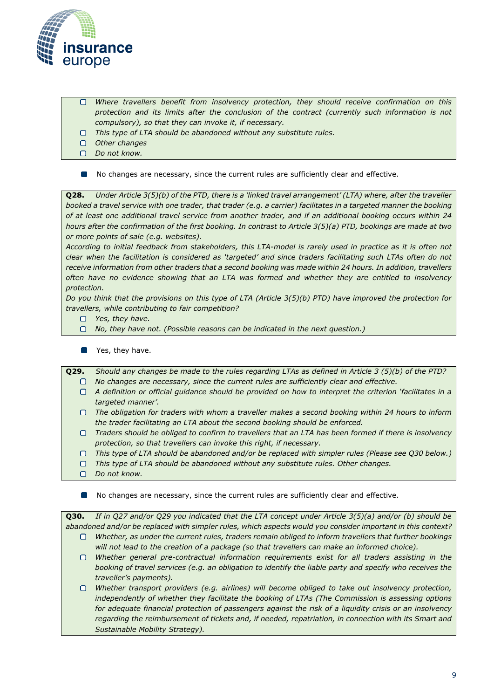

- *Where travellers benefit from insolvency protection, they should receive confirmation on this*   $\Box$ *protection and its limits after the conclusion of the contract (currently such information is not compulsory), so that they can invoke it, if necessary.*
- *This type of LTA should be abandoned without any substitute rules.*
- $\Box$ *Other changes*
- *Do not know.*  $\Box$
- No changes are necessary, since the current rules are sufficiently clear and effective. П

**Q28.** *Under Article 3(5)(b) of the PTD, there is a 'linked travel arrangement' (LTA) where, after the traveller*  booked a travel service with one trader, that trader (e.g. a carrier) facilitates in a targeted manner the booking *of at least one additional travel service from another trader, and if an additional booking occurs within 24 hours after the confirmation of the first booking. In contrast to Article 3(5)(a) PTD, bookings are made at two or more points of sale (e.g. websites).*

*According to initial feedback from stakeholders, this LTA-model is rarely used in practice as it is often not clear when the facilitation is considered as 'targeted' and since traders facilitating such LTAs often do not receive information from other traders that a second booking was made within 24 hours. In addition, travellers often have no evidence showing that an LTA was formed and whether they are entitled to insolvency protection.*

*Do you think that the provisions on this type of LTA (Article 3(5)(b) PTD) have improved the protection for travellers, while contributing to fair competition?*

- $\Box$ *Yes, they have.*
- *No, they have not. (Possible reasons can be indicated in the next question.)*  $\Box$
- **No.** Yes, they have.

**Q29.** *Should any changes be made to the rules regarding LTAs as defined in Article 3 (5)(b) of the PTD? No changes are necessary, since the current rules are sufficiently clear and effective.*

- *A definition or official guidance should be provided on how to interpret the criterion 'facilitates in a targeted manner'.*
- *The obligation for traders with whom a traveller makes a second booking within 24 hours to inform the trader facilitating an LTA about the second booking should be enforced.*
- *Traders should be obliged to confirm to travellers that an LTA has been formed if there is insolvency protection, so that travellers can invoke this right, if necessary.*
- *This type of LTA should be abandoned and/or be replaced with simpler rules (Please see Q30 below.)*
- *This type of LTA should be abandoned without any substitute rules. Other changes.*
- $\Box$ *Do not know.*
- $\Box$ No changes are necessary, since the current rules are sufficiently clear and effective.

**Q30.** *If in Q27 and/or Q29 you indicated that the LTA concept under Article 3(5)(a) and/or (b) should be abandoned and/or be replaced with simpler rules, which aspects would you consider important in this context? Whether, as under the current rules, traders remain obliged to inform travellers that further bookings* 

- *will not lead to the creation of a package (so that travellers can make an informed choice).*
- *Whether general pre-contractual information requirements exist for all traders assisting in the booking of travel services (e.g. an obligation to identify the liable party and specify who receives the traveller's payments).*

*Whether transport providers (e.g. airlines) will become obliged to take out insolvency protection, independently of whether they facilitate the booking of LTAs (The Commission is assessing options for adequate financial protection of passengers against the risk of a liquidity crisis or an insolvency regarding the reimbursement of tickets and, if needed, repatriation, in connection with its Smart and Sustainable Mobility Strategy).*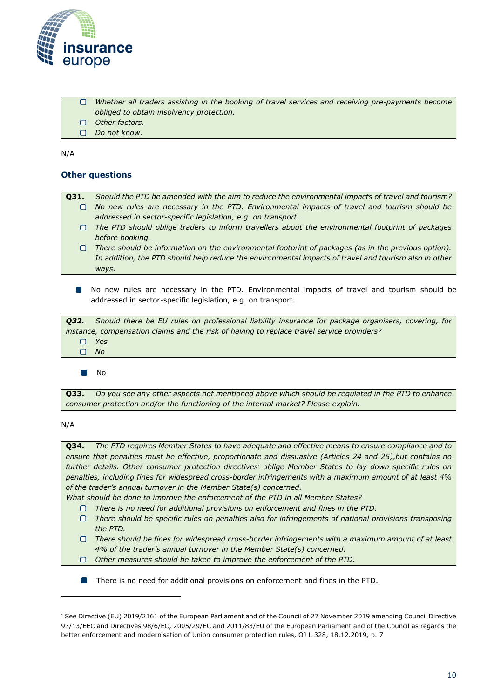

- $\Box$ *Whether all traders assisting in the booking of travel services and receiving pre-payments become obliged to obtain insolvency protection.*
- *Other factors.*  $\Box$
- *Do not know.*

N/A

## **Other questions**

- **Q31.** *Should the PTD be amended with the aim to reduce the environmental impacts of travel and tourism? No new rules are necessary in the PTD. Environmental impacts of travel and tourism should be addressed in sector-specific legislation, e.g. on transport. The PTD should oblige traders to inform travellers about the environmental footprint of packages* 
	- *before booking.*
	- *There should be information on the environmental footprint of packages (as in the previous option). In addition, the PTD should help reduce the environmental impacts of travel and tourism also in other ways.*
	- No new rules are necessary in the PTD. Environmental impacts of travel and tourism should be addressed in sector-specific legislation, e.g. on transport.

*Q32. Should there be EU rules on professional liability insurance for package organisers, covering, for instance, compensation claims and the risk of having to replace travel service providers? Yes*   $\Box$ 

 $\Box$ *No*

 $\blacksquare$ No

**Q33.** *Do you see any other aspects not mentioned above which should be regulated in the PTD to enhance consumer protection and/or the functioning of the internal market? Please explain.*

#### N/A

**Q34.** *The PTD requires Member States to have adequate and effective means to ensure compliance and to ensure that penalties must be effective, proportionate and dissuasive (Articles 24 and 25),but contains no further details. Other consumer protection directives<sup>1</sup> oblige Member States to lay down specific rules on penalties, including fines for widespread cross-border infringements with a maximum amount of at least 4% of the trader's annual turnover in the Member State(s) concerned.*

*What should be done to improve the enforcement of the PTD in all Member States?*

- *There is no need for additional provisions on enforcement and fines in the PTD.* n.
- *There should be specific rules on penalties also for infringements of national provisions transposing the PTD.*
- $\Box$ *There should be fines for widespread cross-border infringements with a maximum amount of at least 4% of the trader's annual turnover in the Member State(s) concerned.*
- *Other measures should be taken to improve the enforcement of the PTD.*  $\Box$
- There is no need for additional provisions on enforcement and fines in the PTD. **Talent**

<sup>1</sup> See Directive (EU) 2019/2161 of the European Parliament and of the Council of 27 November 2019 amending Council Directive 93/13/EEC and Directives 98/6/EC, 2005/29/EC and 2011/83/EU of the European Parliament and of the Council as regards the better enforcement and modernisation of Union consumer protection rules, OJ L 328, 18.12.2019, p. 7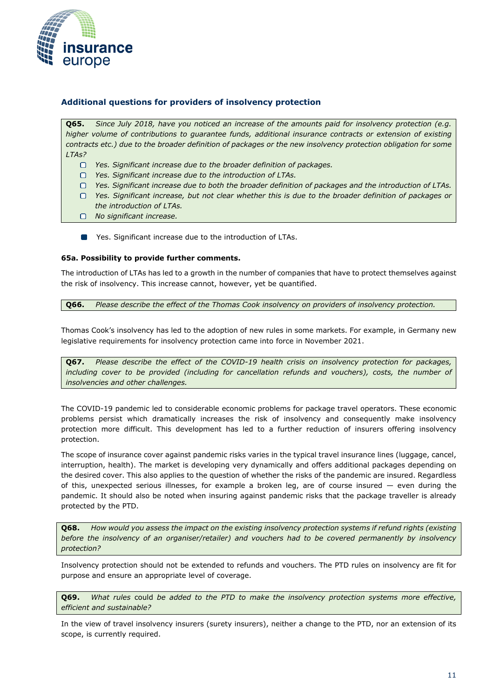

## **Additional questions for providers of insolvency protection**

**Q65.** *Since July 2018, have you noticed an increase of the amounts paid for insolvency protection (e.g. higher volume of contributions to guarantee funds, additional insurance contracts or extension of existing contracts etc.) due to the broader definition of packages or the new insolvency protection obligation for some LTAs?*

- *Yes. Significant increase due to the broader definition of packages.*
- *Yes. Significant increase due to the introduction of LTAs.*
- *Yes. Significant increase due to both the broader definition of packages and the introduction of LTAs.*
- *Yes. Significant increase, but not clear whether this is due to the broader definition of packages or the introduction of LTAs.*
- *No significant increase.*
- **The State Set increase due to the introduction of LTAs.**

#### **65a. Possibility to provide further comments.**

The introduction of LTAs has led to a growth in the number of companies that have to protect themselves against the risk of insolvency. This increase cannot, however, yet be quantified.

**Q66.** *Please describe the effect of the Thomas Cook insolvency on providers of insolvency protection.*

Thomas Cook's insolvency has led to the adoption of new rules in some markets. For example, in Germany new legislative requirements for insolvency protection came into force in November 2021.

**Q67.** *Please describe the effect of the COVID-19 health crisis on insolvency protection for packages,*  including cover to be provided (including for cancellation refunds and vouchers), costs, the number of *insolvencies and other challenges.*

The COVID-19 pandemic led to considerable economic problems for package travel operators. These economic problems persist which dramatically increases the risk of insolvency and consequently make insolvency protection more difficult. This development has led to a further reduction of insurers offering insolvency protection.

The scope of insurance cover against pandemic risks varies in the typical travel insurance lines (luggage, cancel, interruption, health). The market is developing very dynamically and offers additional packages depending on the desired cover. This also applies to the question of whether the risks of the pandemic are insured. Regardless of this, unexpected serious illnesses, for example a broken leg, are of course insured — even during the pandemic. It should also be noted when insuring against pandemic risks that the package traveller is already protected by the PTD.

**Q68.** *How would you assess the impact on the existing insolvency protection systems if refund rights (existing before the insolvency of an organiser/retailer) and vouchers had to be covered permanently by insolvency protection?*

Insolvency protection should not be extended to refunds and vouchers. The PTD rules on insolvency are fit for purpose and ensure an appropriate level of coverage.

**Q69.** *What rules* could *be added to the PTD to make the insolvency protection systems more effective, efficient and sustainable?*

In the view of travel insolvency insurers (surety insurers), neither a change to the PTD, nor an extension of its scope, is currently required.